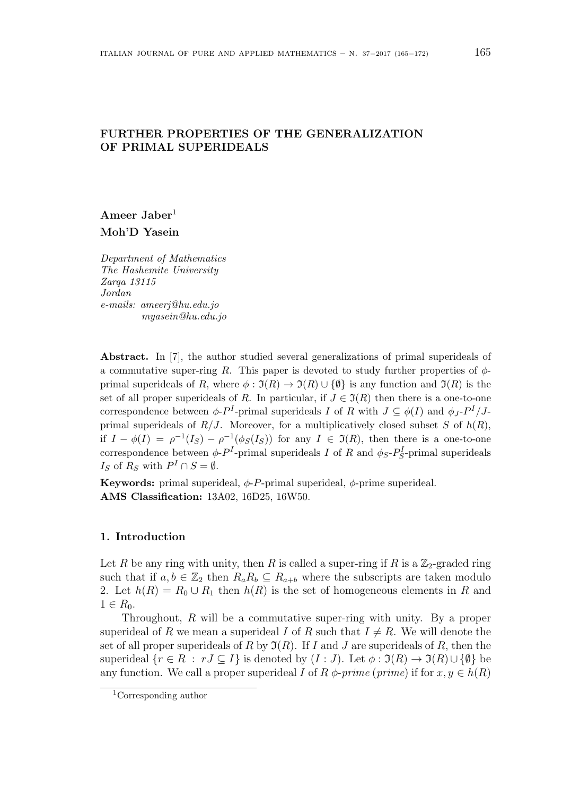# **FURTHER PROPERTIES OF THE GENERALIZATION OF PRIMAL SUPERIDEALS**

**Ameer Jaber**<sup>1</sup> **Moh'D Yasein**

*Department of Mathematics The Hashemite University Zarqa 13115 Jordan e-mails: ameerj@hu.edu.jo myasein@hu.edu.jo*

Abstract. In [7], the author studied several generalizations of primal superideals of a commutative super-ring *R*. This paper is devoted to study further properties of  $\phi$ primal superideals of *R*, where  $\phi : \mathfrak{I}(R) \to \mathfrak{I}(R) \cup \{\emptyset\}$  is any function and  $\mathfrak{I}(R)$  is the set of all proper superideals of *R*. In particular, if  $J \in \mathfrak{I}(R)$  then there is a one-to-one correspondence between  $\phi$ -*P*<sup>*I*</sup>-primal superideals *I* of *R* with  $J \subseteq \phi(I)$  and  $\phi_J$ -*P*<sup>*I*</sup>/*J*primal superideals of  $R/J$ . Moreover, for a multiplicatively closed subset *S* of  $h(R)$ , if  $I - \phi(I) = \rho^{-1}(I_S) - \rho^{-1}(\phi_S(I_S))$  for any  $I \in \mathfrak{I}(R)$ , then there is a one-to-one correspondence between  $\phi$ - $P$ <sup>*I*</sup>-primal superideals *I* of *R* and  $\phi$ <sub>*S*</sub>- $P_S^I$ -primal superideals *I<sub>S</sub>* of  $R_S$  with  $P^I \cap S = \emptyset$ .

**Keywords:** primal superideal,  $\phi$ -*P*-primal superideal,  $\phi$ -prime superideal. **AMS Classification:** 13A02, 16D25, 16W50.

# **1. Introduction**

Let *R* be any ring with unity, then *R* is called a super-ring if *R* is a  $\mathbb{Z}_2$ -graded ring such that if  $a, b \in \mathbb{Z}_2$  then  $R_a R_b \subseteq R_{a+b}$  where the subscripts are taken modulo 2. Let  $h(R) = R_0 \cup R_1$  then  $h(R)$  is the set of homogeneous elements in R and  $1 ∈ R_0.$ 

Throughout, *R* will be a commutative super-ring with unity. By a proper superideal of *R* we mean a superideal *I* of *R* such that  $I \neq R$ . We will denote the set of all proper superideals of *R* by  $\mathfrak{I}(R)$ . If *I* and *J* are superideals of *R*, then the superideal  $\{r \in R : rJ \subseteq I\}$  is denoted by  $(I:J)$ . Let  $\phi : \mathfrak{I}(R) \to \mathfrak{I}(R) \cup \{\emptyset\}$  be any function. We call a proper superideal *I* of  $R \phi$ -prime (prime) if for  $x, y \in h(R)$ 

<sup>1</sup>Corresponding author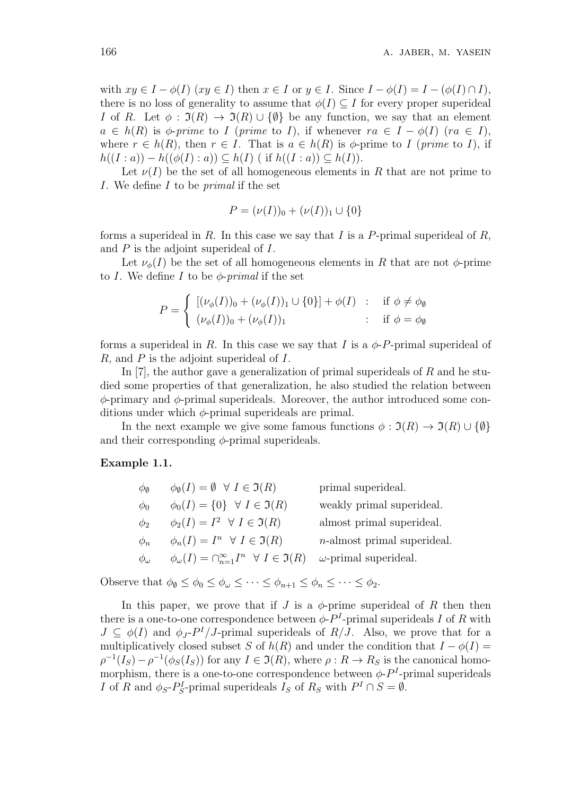with  $xy \in I - \phi(I)$   $(xy \in I)$  then  $x \in I$  or  $y \in I$ . Since  $I - \phi(I) = I - (\phi(I) \cap I)$ , there is no loss of generality to assume that  $\phi(I) \subseteq I$  for every proper superideal *I* of *R*. Let  $\phi : \mathfrak{I}(R) \to \mathfrak{I}(R) \cup \{\emptyset\}$  be any function, we say that an element  $a \in h(R)$  is  $\phi$ -*prime* to *I* (*prime* to *I*), if whenever  $ra \in I - \phi(I)$  (*ra*  $\in I$ ), where  $r \in h(R)$ , then  $r \in I$ . That is  $a \in h(R)$  is  $\phi$ -prime to *I* (*prime* to *I*), if *h*((*I* : *a*)) − *h*(( $\phi$ (*I*) : *a*)) ⊆ *h*(*I*) ( if *h*((*I* : *a*)) ⊆ *h*(*I*)).

Let  $\nu(I)$  be the set of all homogeneous elements in R that are not prime to *I*. We define *I* to be *primal* if the set

$$
P = (\nu(I))_0 + (\nu(I))_1 \cup \{0\}
$$

forms a superideal in *R*. In this case we say that *I* is a *P*-primal superideal of *R*, and *P* is the adjoint superideal of *I*.

Let  $\nu_{\phi}(I)$  be the set of all homogeneous elements in *R* that are not  $\phi$ -prime to *I*. We define *I* to be *ϕ*-*primal* if the set

$$
P = \begin{cases} \left[ (\nu_{\phi}(I))_0 + (\nu_{\phi}(I))_1 \cup \{0\} \right] + \phi(I) & \text{: if } \phi \neq \phi_{\emptyset} \\ (\nu_{\phi}(I))_0 + (\nu_{\phi}(I))_1 & \text{: if } \phi = \phi_{\emptyset} \end{cases}
$$

forms a superideal in *R*. In this case we say that *I* is a  $\phi$ -*P*-primal superideal of *R*, and *P* is the adjoint superideal of *I*.

In [7], the author gave a generalization of primal superideals of *R* and he studied some properties of that generalization, he also studied the relation between *ϕ*-primary and *ϕ*-primal superideals. Moreover, the author introduced some conditions under which *ϕ*-primal superideals are primal.

In the next example we give some famous functions  $\phi : \mathfrak{I}(R) \to \mathfrak{I}(R) \cup \{\emptyset\}$ and their corresponding *ϕ*-primal superideals.

#### **Example 1.1.**

| $\phi_{\emptyset}$ | $\phi_{\emptyset}(I) = \emptyset \ \ \forall \ I \in \mathfrak{I}(R)$                 | primal superideal.             |
|--------------------|---------------------------------------------------------------------------------------|--------------------------------|
| $\phi_0$           | $\phi_0(I) = \{0\} \quad \forall \ I \in \mathfrak{I}(R)$                             | weakly primal superideal.      |
| $\phi_2$           | $\phi_2(I) = I^2 \ \ \forall \ I \in \mathfrak{I}(R)$                                 | almost primal superideal.      |
| $\phi_n$           | $\phi_n(I) = I^n \ \ \forall \ I \in \mathfrak{I}(R)$                                 | $n$ -almost primal superideal. |
| $\phi_\omega$      | $\phi_{\omega}(I) = \bigcap_{n=1}^{\infty} I^n \quad \forall \ I \in \mathfrak{I}(R)$ | $\omega$ -primal superideal.   |

Observe that  $\phi_{\emptyset} \leq \phi_{\emptyset} \leq \phi_{\omega} \leq \cdots \leq \phi_{n+1} \leq \phi_n \leq \cdots \leq \phi_2$ .

In this paper, we prove that if  $J$  is a  $\phi$ -prime superideal of  $R$  then then there is a one-to-one correspondence between  $\phi$ - $P<sup>I</sup>$ -primal superideals *I* of *R* with  $J \subseteq \phi(I)$  and  $\phi_J$ - $P^I/J$ -primal superideals of  $R/J$ . Also, we prove that for a multiplicatively closed subset *S* of  $h(R)$  and under the condition that  $I - \phi(I) =$  $\rho^{-1}(I_S) - \rho^{-1}(\phi_S(I_S))$  for any  $I \in \mathfrak{I}(R)$ , where  $\rho: R \to R_S$  is the canonical homomorphism, there is a one-to-one correspondence between  $\phi$ - $P<sup>I</sup>$ -primal superideals *I* of *R* and  $\phi_S$ -*P*<sup>*I*</sup><sub>*S*</sub>-primal superideals *I<sub>S</sub>* of *R<sub>S</sub>* with  $P^I \cap S = \emptyset$ .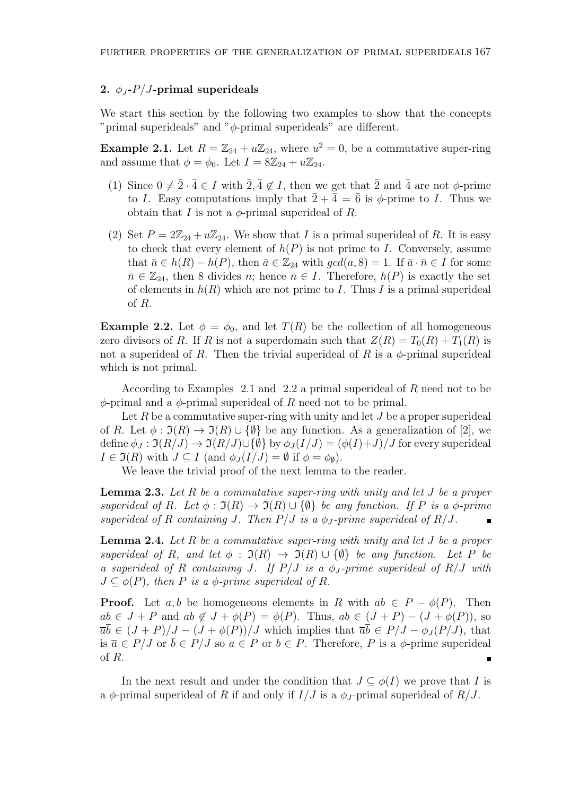## 2.  $\phi_J$ - $P/J$ -primal superideals

We start this section by the following two examples to show that the concepts "primal superideals" and "*ϕ*-primal superideals" are different.

**Example 2.1.** Let  $R = \mathbb{Z}_{24} + u\mathbb{Z}_{24}$ , where  $u^2 = 0$ , be a commutative super-ring and assume that  $\phi = \phi_0$ . Let  $I = 8\mathbb{Z}_{24} + u\mathbb{Z}_{24}$ .

- (1) Since  $0 \neq \overline{2} \cdot \overline{4} \in I$  with  $\overline{2}$ ,  $\overline{4} \notin I$ , then we get that  $\overline{2}$  and  $\overline{4}$  are not  $\phi$ -prime to *I*. Easy computations imply that  $\overline{2} + \overline{4} = \overline{6}$  is  $\phi$ -prime to *I*. Thus we obtain that *I* is not a  $\phi$ -primal superideal of *R*.
- (2) Set  $P = 2\mathbb{Z}_{24} + u\mathbb{Z}_{24}$ . We show that *I* is a primal superideal of *R*. It is easy to check that every element of  $h(P)$  is not prime to *I*. Conversely, assume that  $\bar{a} \in h(R) - h(P)$ , then  $\bar{a} \in \mathbb{Z}_{24}$  with  $gcd(a, 8) = 1$ . If  $\bar{a} \cdot \bar{n} \in I$  for some  $\bar{n} \in \mathbb{Z}_{24}$ , then 8 divides *n*; hence  $\bar{n} \in I$ . Therefore,  $h(P)$  is exactly the set of elements in  $h(R)$  which are not prime to *I*. Thus *I* is a primal superideal of *R*.

**Example 2.2.** Let  $\phi = \phi_0$ , and let  $T(R)$  be the collection of all homogeneous zero divisors of *R*. If *R* is not a superdomain such that  $Z(R) = T_0(R) + T_1(R)$  is not a superideal of *R*. Then the trivial superideal of *R* is a  $\phi$ -primal superideal which is not primal.

According to Examples 2.1 and 2.2 a primal superideal of *R* need not to be *ϕ*-primal and a *ϕ*-primal superideal of *R* need not to be primal.

Let R be a commutative super-ring with unity and let J be a proper superideal of *R*. Let  $\phi : \mathfrak{I}(R) \to \mathfrak{I}(R) \cup \{\emptyset\}$  be any function. As a generalization of [2], we define  $\phi_J : \mathfrak{I}(R/J) \to \mathfrak{I}(R/J) \cup \{\emptyset\}$  by  $\phi_J(I/J) = (\phi(I)+J)/J$  for every superideal  $I \in \mathfrak{I}(R)$  with  $J \subseteq I$  (and  $\phi_J(I/J) = \emptyset$  if  $\phi = \phi_{\emptyset}$ ).

We leave the trivial proof of the next lemma to the reader.

**Lemma 2.3.** *Let R be a commutative super-ring with unity and let J be a proper superideal of R.* Let  $\phi : \mathfrak{I}(R) \to \mathfrak{I}(R) \cup \{\emptyset\}$  *be any function. If P is a*  $\phi$ -prime *superideal of*  $R$  *containing*  $J$ *. Then*  $P/J$  *is a*  $\phi_J$ -prime superideal of  $R/J$ *.* 

**Lemma 2.4.** *Let R be a commutative super-ring with unity and let J be a proper superideal of R, and let*  $\phi$  :  $\mathfrak{I}(R) \rightarrow \mathfrak{I}(R) \cup \{\emptyset\}$  *be any function. Let P be a superideal of R containing J. If P/J is a ϕ<sup>J</sup> -prime superideal of R/J with*  $J \subseteq \phi(P)$ , then P is a  $\phi$ -prime superideal of R.

**Proof.** Let *a, b* be homogeneous elements in *R* with  $ab \in P - \phi(P)$ . Then  $ab \in J + P$  and  $ab \notin J + \phi(P) = \phi(P)$ . Thus,  $ab \in (J + P) - (J + \phi(P))$ , so  $\overline{a}\overline{b} \in (J + P)/J - (J + \phi(P))/J$  which implies that  $\overline{a}\overline{b} \in P/J - \phi_J(P/J)$ , that is  $\overline{a}$  ∈  $P/J$  or  $\overline{b}$  ∈  $P/J$  so  $a \in P$  or  $b \in P$ . Therefore, P is a  $\phi$ -prime superideal of *R*.  $\blacksquare$ 

In the next result and under the condition that  $J \subseteq \phi(I)$  we prove that *I* is a  $\phi$ -primal superideal of *R* if and only if  $I/J$  is a  $\phi_J$ -primal superideal of  $R/J$ .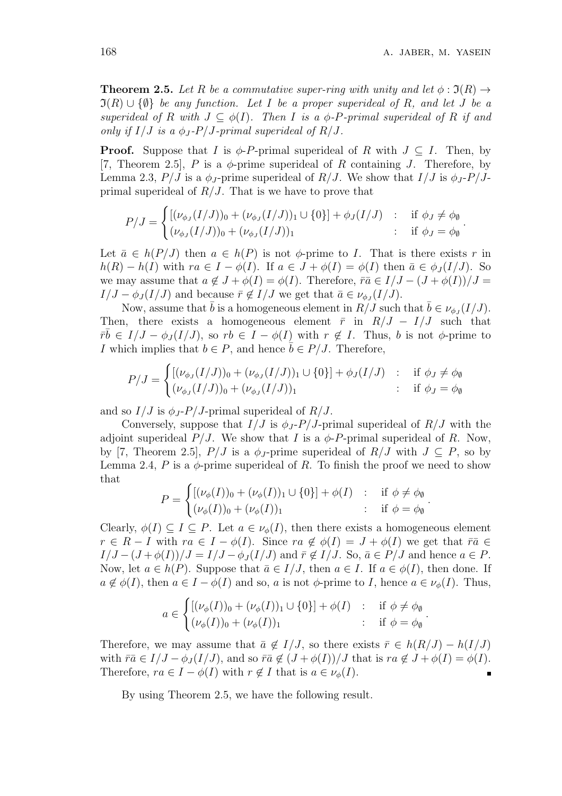*.*

**Theorem 2.5.** Let R be a commutative super-ring with unity and let  $\phi : \mathfrak{I}(R) \rightarrow$  $\mathfrak{I}(R) \cup \{\emptyset\}$  *be any function. Let I be a proper superideal of R, and let J be a superideal of*  $R$  *with*  $J \subseteq \phi(I)$ *. Then*  $I$  *is a*  $\phi$ *-P-primal superideal of*  $R$  *if and only if*  $I/J$  *is a*  $\phi_J$ - $P/J$ -primal superideal of R/J.

**Proof.** Suppose that *I* is  $\phi$ -*P*-primal superideal of *R* with  $J \subseteq I$ . Then, by [7, Theorem 2.5], *P* is a *ϕ*-prime superideal of *R* containing *J*. Therefore, by Lemma 2.3,  $P/J$  is a  $\phi_J$ -prime superideal of  $R/J$ . We show that  $I/J$  is  $\phi_J$ - $P/J$ primal superideal of *R/J*. That is we have to prove that

$$
P/J = \begin{cases} [(\nu_{\phi_J}(I/J))_0 + (\nu_{\phi_J}(I/J))_1 \cup \{0\}] + \phi_J(I/J) & : & \text{if } \phi_J \neq \phi_\emptyset \\ (\nu_{\phi_J}(I/J))_0 + (\nu_{\phi_J}(I/J))_1 & : & \text{if } \phi_J = \phi_\emptyset \end{cases}.
$$

Let  $\bar{a} \in h(P/J)$  then  $a \in h(P)$  is not  $\phi$ -prime to *I*. That is there exists *r* in  $h(R) - h(I)$  with  $ra \in I - \phi(I)$ . If  $a \in J + \phi(I) = \phi(I)$  then  $\bar{a} \in \phi_{J}(I/J)$ . So we may assume that  $a \notin J + \phi(I) = \phi(I)$ . Therefore,  $\overline{ra} \in I/J - (J + \phi(I))/J =$ *I/J* −  $\phi_J(I/J)$  and because  $\bar{r} \notin I/J$  we get that  $\bar{a} \in \nu_{\phi_J}(I/J)$ .

Now, assume that  $\bar{b}$  is a homogeneous element in  $R/J$  such that  $\bar{b} \in \nu_{\phi_J}(I/J)$ . Then, there exists a homogeneous element  $\bar{r}$  in  $R/J - I/J$  such that  $\overline{r\overline{b}} \in I/J - \phi_J(I/J)$ , so  $rb \in I - \phi(I)$  with  $r \notin I$ . Thus, *b* is not  $\phi$ -prime to *I* which implies that  $b \in P$ , and hence  $\overline{b} \in P/J$ . Therefore,

$$
P/J = \begin{cases} [(\nu_{\phi_J}(I/J))_0 + (\nu_{\phi_J}(I/J))_1 \cup \{0\}] + \phi_J(I/J) & : & \text{if } \phi_J \neq \phi_\emptyset \\ (\nu_{\phi_J}(I/J))_0 + (\nu_{\phi_J}(I/J))_1 & : & \text{if } \phi_J = \phi_\emptyset \end{cases}
$$

and so  $I/J$  is  $\phi_J$ - $P/J$ -primal superideal of  $R/J$ .

Conversely, suppose that  $I/J$  is  $\phi_J$ - $P/J$ -primal superideal of  $R/J$  with the adjoint superideal  $P/J$ . We show that *I* is a  $\phi$ -*P*-primal superideal of *R*. Now, by [7, Theorem 2.5],  $P/J$  is a  $\phi_J$ -prime superideal of  $R/J$  with  $J \subseteq P$ , so by Lemma 2.4,  $P$  is a  $\phi$ -prime superideal of  $R$ . To finish the proof we need to show that

$$
P = \begin{cases} [(\nu_{\phi}(I))_0 + (\nu_{\phi}(I))_1 \cup \{0\}] + \phi(I) & : & \text{if } \phi \neq \phi_{\emptyset} \\ (\nu_{\phi}(I))_0 + (\nu_{\phi}(I))_1 & : & \text{if } \phi = \phi_{\emptyset} \end{cases}.
$$

Clearly,  $\phi(I) \subseteq I \subseteq P$ . Let  $a \in \nu_{\phi}(I)$ , then there exists a homogeneous element  $r \in R - I$  with  $ra \in I - \phi(I)$ . Since  $ra \notin \phi(I) = J + \phi(I)$  we get that  $\overline{ra} \in \phi(I)$  $I/J - (J + \phi(I))/J = I/J - \phi_J(I/J)$  and  $\bar{r} \notin I/J$ . So,  $\bar{a} \in P/J$  and hence  $a \in P$ . Now, let  $a \in h(P)$ . Suppose that  $\overline{a} \in I/J$ , then  $a \in I$ . If  $a \in \phi(I)$ , then done. If  $a \notin \phi(I)$ , then  $a \in I - \phi(I)$  and so, *a* is not  $\phi$ -prime to *I*, hence  $a \in \nu_{\phi}(I)$ . Thus,

$$
a \in \begin{cases} [(\nu_{\phi}(I))_0 + (\nu_{\phi}(I))_1 \cup \{0\}] + \phi(I) & : & \text{if } \phi \neq \phi_{\emptyset} \\ (\nu_{\phi}(I))_0 + (\nu_{\phi}(I))_1 & : & \text{if } \phi = \phi_{\emptyset} \end{cases}
$$

Therefore, we may assume that  $\bar{a} \notin I/J$ , so there exists  $\bar{r} \in h(R/J) - h(I/J)$ with  $\bar{r}\bar{a} \in I/J - \phi_J(I/J)$ , and so  $\bar{r}\bar{a} \notin (J + \phi(I))/J$  that is  $ra \notin J + \phi(I) = \phi(I)$ . Therefore,  $ra \in I - \phi(I)$  with  $r \notin I$  that is  $a \in \nu_{\phi}(I)$ .

By using Theorem 2.5, we have the following result.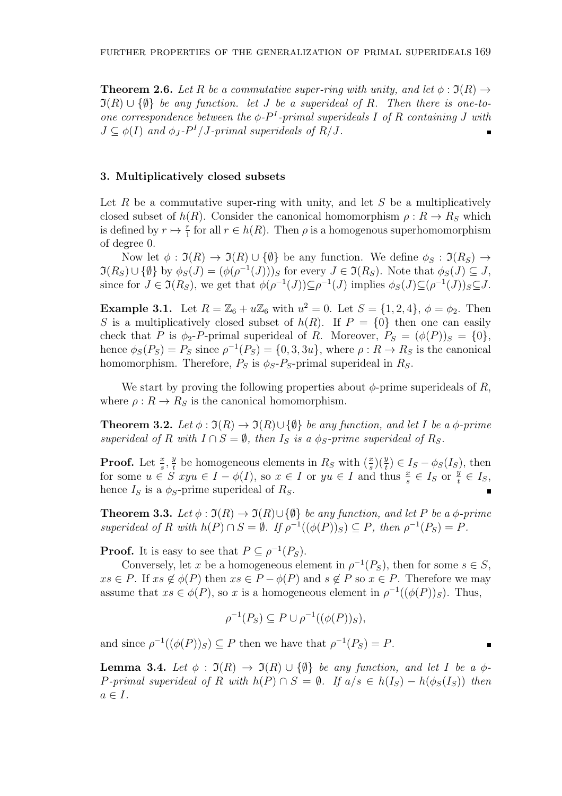**Theorem 2.6.** Let R be a commutative super-ring with unity, and let  $\phi : \mathfrak{I}(R) \rightarrow$  $\mathfrak{I}(R) \cup \{\emptyset\}$  *be any function. let J be a superideal of R. Then there is one-toone correspondence between the*  $\phi$ - $P$ <sup>*I*</sup>-primal superideals *I* of *R containing J* with  $J \subseteq \phi(I)$  *and*  $\phi_J \cdot P^I / J \cdot primal$  superideals of  $R/J$ .

#### **3. Multiplicatively closed subsets**

Let *R* be a commutative super-ring with unity, and let *S* be a multiplicatively closed subset of *h*(*R*). Consider the canonical homomorphism  $\rho: R \to R_S$  which is defined by  $r \mapsto \frac{r}{1}$  for all  $r \in h(R)$ . Then  $\rho$  is a homogenous superhomomorphism of degree 0.

Now let  $\phi : \mathfrak{I}(R) \to \mathfrak{I}(R) \cup \{\emptyset\}$  be any function. We define  $\phi_S : \mathfrak{I}(R_S) \to$  $\Im(R_S) \cup \{\emptyset\}$  by  $\phi_S(J) = (\phi(\rho^{-1}(J)))_S$  for every  $J \in \Im(R_S)$ . Note that  $\phi_S(J) \subseteq J$ , since for  $J \in \mathfrak{I}(R_S)$ , we get that  $\phi(\rho^{-1}(J)) \subseteq \rho^{-1}(J)$  implies  $\phi_S(J) \subseteq (\rho^{-1}(J))_S \subseteq J$ .

**Example 3.1.** Let  $R = \mathbb{Z}_6 + u\mathbb{Z}_6$  with  $u^2 = 0$ . Let  $S = \{1, 2, 4\}$ ,  $\phi = \phi_2$ . Then *S* is a multiplicatively closed subset of  $h(R)$ . If  $P = \{0\}$  then one can easily check that *P* is  $\phi_2$ -*P*-primal superideal of *R*. Moreover,  $P_S = (\phi(P))_S = \{0\},\$ hence  $\phi_S(P_S) = P_S$  since  $\rho^{-1}(P_S) = \{0, 3, 3u\}$ , where  $\rho: R \to R_S$  is the canonical homomorphism. Therefore,  $P_S$  is  $\phi_S$ - $P_S$ -primal superideal in  $R_S$ .

We start by proving the following properties about  $\phi$ -prime superideals of *R*, where  $\rho: R \to R_S$  is the canonical homomorphism.

**Theorem 3.2.** *Let*  $\phi : \mathfrak{I}(R) \to \mathfrak{I}(R) \cup \{\emptyset\}$  *be any function, and let I be a*  $\phi$ -prime *superideal of*  $R$  *with*  $I \cap S = \emptyset$ *, then*  $I_S$  *is a*  $\phi_S$ *-prime superideal of*  $R_S$ *.* 

**Proof.** Let  $\frac{x}{s}$ ,  $\frac{y}{t}$ *t*<sub>*t*</sub> be homogeneous elements in  $R_S$  with  $(\frac{x}{s})(\frac{y}{t}) \in I_S - \phi_S(I_S)$ , then for some  $u \in S$   $xyu \in I - \phi(I)$ , so  $x \in I$  or  $yu \in I$  and thus  $\frac{x}{s} \in I_S$  or  $\frac{y}{t} \in I_S$ , hence  $I_S$  is a  $\phi_S$ -prime superideal of  $R_S$ .

**Theorem 3.3.** *Let*  $\phi : \mathfrak{I}(R) \to \mathfrak{I}(R) \cup \{\emptyset\}$  *be any function, and let P be a*  $\phi$ *-prime* superideal of R with  $h(P) \cap S = \emptyset$ . If  $\rho^{-1}((\phi(P))_S) \subseteq P$ , then  $\rho^{-1}(P_S) = P$ .

**Proof.** It is easy to see that  $P \subseteq \rho^{-1}(P_S)$ .

Conversely, let *x* be a homogeneous element in  $\rho^{-1}(P_S)$ , then for some  $s \in S$ ,  $xs \in P$ . If  $xs \notin \phi(P)$  then  $xs \in P - \phi(P)$  and  $s \notin P$  so  $x \in P$ . Therefore we may assume that  $xs \in \phi(P)$ , so *x* is a homogeneous element in  $\rho^{-1}((\phi(P))_S)$ . Thus,

$$
\rho^{-1}(P_S) \subseteq P \cup \rho^{-1}((\phi(P))_S),
$$

and since  $\rho^{-1}((\phi(P))_S) \subseteq P$  then we have that  $\rho^{-1}(P_S) = P$ .

**Lemma 3.4.** *Let*  $\phi$  :  $\mathfrak{I}(R) \rightarrow \mathfrak{I}(R) \cup \{\emptyset\}$  *be any function, and let I be a*  $\phi$ -P-primal superideal of R with  $h(P) \cap S = \emptyset$ . If  $a/s \in h(I_S) - h(\phi_S(I_S))$  then  $a \in I$ .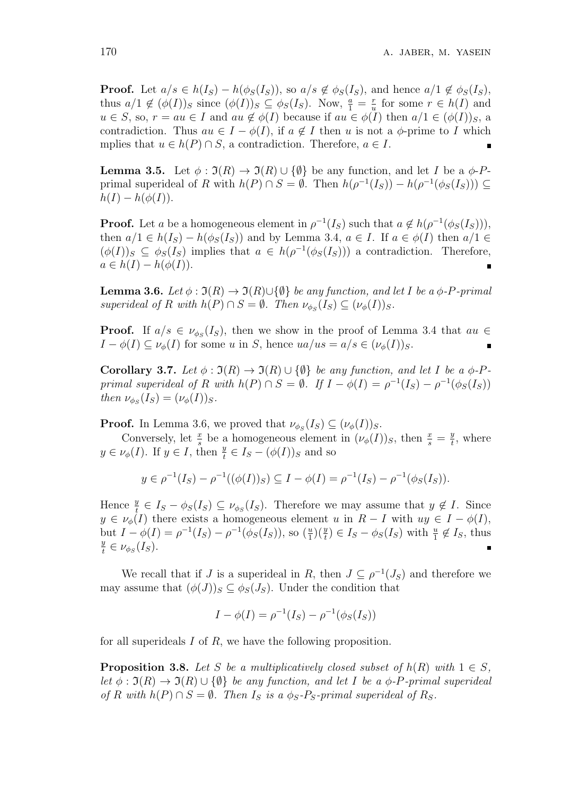**Proof.** Let  $a/s \in h(I_S) - h(\phi_S(I_S))$ , so  $a/s \notin \phi_S(I_S)$ , and hence  $a/1 \notin \phi_S(I_S)$ , thus  $a/1 \notin (\phi(I))_S$  since  $(\phi(I))_S \subseteq \phi_S(I_S)$ . Now,  $\frac{a}{1} = \frac{r}{u}$  $\frac{r}{u}$  for some  $r \in h(I)$  and  $u \in S$ , so,  $r = au \in I$  and  $au \notin \phi(I)$  because if  $au \in \phi(I)$  then  $a/1 \in (\phi(I))_S$ , a contradiction. Thus  $au \in I - \phi(I)$ , if  $a \notin I$  then *u* is not a  $\phi$ -prime to *I* which mplies that  $u \in h(P) \cap S$ , a contradiction. Therefore,  $a \in I$ .

**Lemma 3.5.** Let  $\phi : \mathfrak{I}(R) \to \mathfrak{I}(R) \cup \{\emptyset\}$  be any function, and let *I* be a  $\phi$ -*P*primal superideal of *R* with  $h(P) \cap S = \emptyset$ . Then  $h(\rho^{-1}(I_S)) - h(\rho^{-1}(\phi_S(I_S))) \subseteq$  $h(I) - h(\phi(I)).$ 

**Proof.** Let *a* be a homogeneous element in  $\rho^{-1}(I_S)$  such that  $a \notin h(\rho^{-1}(\phi_S(I_S))),$ then  $a/1 \in h(I_S) - h(\phi_S(I_S))$  and by Lemma 3.4,  $a \in I$ . If  $a \in \phi(I)$  then  $a/1 \in$  $(\phi(I))_S \subseteq \phi_S(I_S)$  implies that  $a \in h(\rho^{-1}(\phi_S(I_S)))$  a contradiction. Therefore,  $a \in h(I) - h(\phi(I)).$ 

**Lemma 3.6.** *Let*  $\phi : \mathfrak{I}(R) \to \mathfrak{I}(R) \cup \{\emptyset\}$  *be any function, and let I be a*  $\phi$ *-P-primal superideal of R with*  $h(P) \cap S = \emptyset$ *. Then*  $\nu_{\phi_S}(I_S) \subseteq (\nu_{\phi}(I))_S$ *.* 

**Proof.** If  $a/s \in \nu_{\phi_S}(I_S)$ , then we show in the proof of Lemma 3.4 that  $au \in$ *I* −  $\phi$ (*I*)  $\subseteq$   $\nu$ <sup> $\phi$ </sup>(*I*) for some *u* in *S*, hence *ua/us* = *a/s* ∈ ( $\nu$ <sup> $\phi$ </sup>(*I*))*s*.  $\blacksquare$ 

**Corollary 3.7.** *Let*  $\phi : \mathfrak{I}(R) \to \mathfrak{I}(R) \cup \{\emptyset\}$  *be any function, and let I be a*  $\phi$ *-P*primal superideal of R with  $h(P) \cap S = \emptyset$ . If  $I - \phi(I) = \rho^{-1}(I_S) - \rho^{-1}(\phi_S(I_S))$ *then*  $\nu_{\phi_S}(I_S) = (\nu_{\phi}(I))_S$ *.* 

**Proof.** In Lemma 3.6, we proved that  $\nu_{\phi_S}(I_S) \subseteq (\nu_{\phi}(I))_S$ .

Conversely, let  $\frac{x}{s}$  be a homogeneous element in  $(\nu_{\phi}(I))_S$ , then  $\frac{x}{s} = \frac{y}{t}$  $\frac{y}{t}$ , where  $y \in \nu_\phi(I)$ . If  $y \in I$ , then  $\frac{y}{t} \in I_s - (\phi(I))_S$  and so

$$
y \in \rho^{-1}(I_S) - \rho^{-1}((\phi(I))_S) \subseteq I - \phi(I) = \rho^{-1}(I_S) - \rho^{-1}(\phi_S(I_S)).
$$

Hence  $\frac{y}{t} \in I_S - \phi_S(I_S) \subseteq \nu_{\phi_S}(I_S)$ . Therefore we may assume that  $y \notin I$ . Since  $y \in \nu_{\phi}(I)$  there exists a homogeneous element *u* in  $R - I$  with  $uy \in I - \phi(I)$ , but  $I - \phi(I) = \rho^{-1}(I_S) - \rho^{-1}(\phi_S(I_S))$ , so  $(\frac{u}{1})(\frac{y}{t}) \in I_S - \phi_S(I_S)$  with  $\frac{u}{1} \notin I_S$ , thus *y*  $\frac{y}{t} \in \nu_{\phi_S}(I_S).$ 

We recall that if *J* is a superideal in *R*, then  $J \subseteq \rho^{-1}(J_S)$  and therefore we may assume that  $(\phi(J))_S \subseteq \phi_S(J_S)$ . Under the condition that

$$
I - \phi(I) = \rho^{-1}(I_S) - \rho^{-1}(\phi_S(I_S))
$$

for all superideals *I* of *R*, we have the following proposition.

**Proposition 3.8.** Let S be a multiplicatively closed subset of  $h(R)$  with  $1 \in S$ . *let*  $\phi : \mathfrak{I}(R) \to \mathfrak{I}(R) \cup \{\emptyset\}$  *be any function, and let I be a*  $\phi$ *-P-primal superideal*  $of$  *R* with  $h(P) \cap S = \emptyset$ *. Then I<sub>S</sub> is a*  $\phi_S$ *-P<sub>S</sub>*-primal superideal of *R<sub>S</sub>*.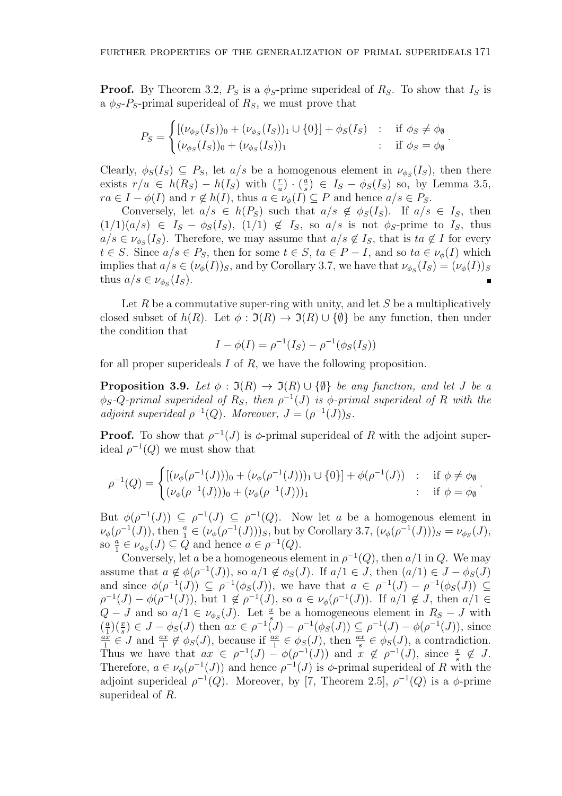**Proof.** By Theorem 3.2,  $P_S$  is a  $\phi_S$ -prime superideal of  $R_S$ . To show that  $I_S$  is a  $\phi_S$ - $P_S$ -primal superideal of  $R_S$ , we must prove that

$$
P_S = \begin{cases} [(\nu_{\phi_S}(I_S))_0 + (\nu_{\phi_S}(I_S))_1 \cup \{0\}] + \phi_S(I_S) & : & \text{if } \phi_S \neq \phi_\emptyset \\ (\nu_{\phi_S}(I_S))_0 + (\nu_{\phi_S}(I_S))_1 & : & \text{if } \phi_S = \phi_\emptyset \end{cases}
$$

*.*

*.*

Clearly,  $\phi_S(I_S) \subseteq P_S$ , let  $a/s$  be a homogenous element in  $\nu_{\phi_S}(I_S)$ , then there exists  $r/u \in h(R_S) - h(I_S)$  with  $\left(\frac{r}{u}\right) \cdot \left(\frac{a}{s}\right)$  $\frac{a}{s}$ ) ∈ *I<sub>S</sub>* −  $\phi_S(I_S)$  so, by Lemma 3.5, *ra*  $\in$  *I*  $-\phi(I)$  and  $r \notin h(I)$ , thus  $a \in \nu_{\phi}(I) \subseteq P$  and hence  $a/s \in P_S$ .

Conversely, let  $a/s \in h(P_S)$  such that  $a/s \notin \phi_S(I_S)$ . If  $a/s \in I_S$ , then  $(1/1)(a/s) \in I_s - \phi_s(I_s), (1/1) \notin I_s$ , so  $a/s$  is not  $\phi_s$ -prime to  $I_s$ , thus  $a/s \in \nu_{\phi_S}(I_S)$ . Therefore, we may assume that  $a/s \notin I_S$ , that is  $ta \notin I$  for every *t*  $\in$  *S*. Since  $a/s \in P_S$ , then for some  $t \in S$ ,  $ta \in P - I$ , and so  $ta \in \nu_\phi(I)$  which implies that  $a/s \in (\nu_{\phi}(I))_S$ , and by Corollary 3.7, we have that  $\nu_{\phi_S}(I_S) = (\nu_{\phi}(I))_S$ thus  $a/s \in \nu_{\phi_S}(I_S)$ .  $\blacksquare$ 

Let *R* be a commutative super-ring with unity, and let *S* be a multiplicatively closed subset of  $h(R)$ . Let  $\phi : \mathfrak{I}(R) \to \mathfrak{I}(R) \cup \{\emptyset\}$  be any function, then under the condition that

$$
I - \phi(I) = \rho^{-1}(I_S) - \rho^{-1}(\phi_S(I_S))
$$

for all proper superideals *I* of *R*, we have the following proposition.

**Proposition 3.9.** *Let*  $\phi : \mathfrak{I}(R) \to \mathfrak{I}(R) \cup \{\emptyset\}$  *be any function, and let J be a*  $\phi_S$ *-Q*-primal superideal of  $R_S$ , then  $\rho^{-1}(J)$  is  $\phi$ -primal superideal of R with the *adjoint superideal*  $\rho^{-1}(Q)$ *. Moreover,*  $J = (\rho^{-1}(J))_S$ *.* 

**Proof.** To show that  $\rho^{-1}(J)$  is  $\phi$ -primal superideal of R with the adjoint superideal  $\rho^{-1}(Q)$  we must show that

$$
\rho^{-1}(Q) = \begin{cases}\n[ (\nu_{\phi}(\rho^{-1}(J)))_0 + (\nu_{\phi}(\rho^{-1}(J)))_1 \cup \{0\}] + \phi(\rho^{-1}(J)) & ; & \text{if } \phi \neq \phi_{\emptyset} \\
(\nu_{\phi}(\rho^{-1}(J)))_0 + (\nu_{\phi}(\rho^{-1}(J)))_1 & ; & \text{if } \phi = \phi_{\emptyset}\n\end{cases}
$$

But  $\phi(\rho^{-1}(J)) \subseteq \rho^{-1}(J) \subseteq \rho^{-1}(Q)$ . Now let *a* be a homogenous element in  $\nu_{\phi}(\rho^{-1}(J))$ , then  $\frac{a}{1} \in (\nu_{\phi}(\rho^{-1}(J)))_S$ , but by Corollary 3.7,  $(\nu_{\phi}(\rho^{-1}(J)))_S = \nu_{\phi_S}(J)$ , so  $\frac{a}{1} \in \nu_{\phi_S}(J) \subseteq \hat{Q}$  and hence  $a \in \rho^{-1}(Q)$ .

Conversely, let *a* be a homogeneous element in  $\rho^{-1}(Q)$ , then  $a/1$  in *Q*. We may assume that  $a \notin \phi(\rho^{-1}(J))$ , so  $a/1 \notin \phi_S(J)$ . If  $a/1 \in J$ , then  $(a/1) \in J - \phi_S(J)$ and since  $\phi(\rho^{-1}(J)) \subseteq \rho^{-1}(\phi_S(J))$ , we have that  $a \in \rho^{-1}(J) - \rho^{-1}(\phi_S(J)) \subseteq$  $\rho^{-1}(J) - \phi(\rho^{-1}(J))$ , but  $1 \notin \rho^{-1}(J)$ , so  $a \in \nu_{\phi}(\rho^{-1}(J))$ . If  $a/1 \notin J$ , then  $a/1 \in$ *Q* − *J* and so  $a/1 \text{ } \in \nu_{\phi_S}(J)$ . Let  $\frac{x}{s}$  be a homogeneous element in  $R_S - J$  with  $\left(\frac{a}{1}\right)$  $\frac{a}{1}(\frac{x}{s}) \in J - \phi_S(J)$  then  $ax \in \rho^{-1}(J) - \rho^{-1}(\phi_S(J)) \subseteq \rho^{-1}(J) - \phi(\rho^{-1}(J))$ , since *ax*  $\frac{a\bar{x}}{1} \in J$  and  $\frac{ax}{1} \notin \phi_S(J)$ , because if  $\frac{ax}{1} \in \phi_S(J)$ , then  $\frac{ax}{s} \in \phi_S(J)$ , a contradiction. Thus we have that  $ax \in \rho^{-1}(J) - \phi(\rho^{-1}(J))$  and  $x \notin \rho^{-1}(J)$ , since  $\frac{x}{s} \notin J$ . Therefore,  $a \in \nu_{\phi}(\rho^{-1}(J))$  and hence  $\rho^{-1}(J)$  is  $\phi$ -primal superideal of *R* with the adjoint superideal  $\rho^{-1}(Q)$ . Moreover, by [7, Theorem 2.5],  $\rho^{-1}(Q)$  is a  $\phi$ -prime superideal of *R*.